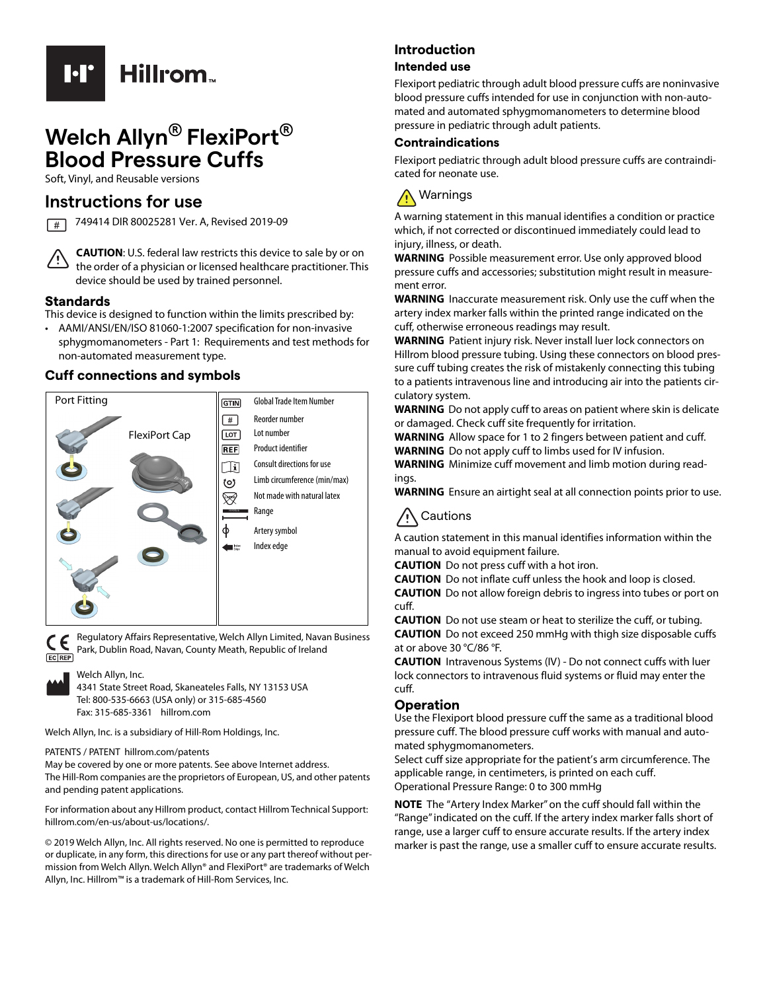

# **Welch Allyn® FlexiPort® Blood Pressure Cuffs**

Soft, Vinyl, and Reusable versions

## **Instructions for use**

749414 DIR 80025281 Ver. A, Revised 2019-09  $\sqrt{t}$ 

**CAUTION**: U.S. federal law restricts this device to sale by or on the order of a physician or licensed healthcare practitioner. This device should be used by trained personnel.

#### **Standards**

This device is designed to function within the limits prescribed by:

• AAMI/ANSI/EN/ISO 81060-1:2007 specification for non-invasive sphygmomanometers - Part 1: Requirements and test methods for non-automated measurement type.

## **Cuff connections and symbols**



CE EC REP

Regulatory Affairs Representative, Welch Allyn Limited, Navan Business Park, Dublin Road, Navan, County Meath, Republic of Ireland

#### Welch Allyn, Inc.

4341 State Street Road, Skaneateles Falls, NY 13153 USA Tel: 800-535-6663 (USA only) or 315-685-4560 Fax: 315-685-3361 hillrom.com

Welch Allyn, Inc. is a subsidiary of Hill-Rom Holdings, Inc.

#### PATENTS / PATENT hillrom.com/patents

May be covered by one or more patents. See above Internet address. The Hill-Rom companies are the proprietors of European, US, and other patents and pending patent applications.

[For information about any Hillrom product, contact Hillrom Technical Support:](https://www.hillrom.com/en-us/about-us/locationsl)  hillrom.com/en-us/about-us/locations/.

© 2019 Welch Allyn, Inc. All rights reserved. No one is permitted to reproduce or duplicate, in any form, this directions for use or any part thereof without permission from Welch Allyn. Welch Allyn® and FlexiPort® are trademarks of Welch Allyn, Inc. Hillrom™ is a trademark of Hill-Rom Services, Inc.

#### **Introduction**

#### **Intended use**

Flexiport pediatric through adult blood pressure cuffs are noninvasive blood pressure cuffs intended for use in conjunction with non-automated and automated sphygmomanometers to determine blood pressure in pediatric through adult patients.

#### **Contraindications**

Flexiport pediatric through adult blood pressure cuffs are contraindicated for neonate use.



A warning statement in this manual identifies a condition or practice which, if not corrected or discontinued immediately could lead to injury, illness, or death.

**WARNING** Possible measurement error. Use only approved blood pressure cuffs and accessories; substitution might result in measurement error.

**WARNING** Inaccurate measurement risk. Only use the cuff when the artery index marker falls within the printed range indicated on the cuff, otherwise erroneous readings may result.

**WARNING** Patient injury risk. Never install luer lock connectors on Hillrom blood pressure tubing. Using these connectors on blood pressure cuff tubing creates the risk of mistakenly connecting this tubing to a patients intravenous line and introducing air into the patients circulatory system.

**WARNING** Do not apply cuff to areas on patient where skin is delicate or damaged. Check cuff site frequently for irritation.

**WARNING** Allow space for 1 to 2 fingers between patient and cuff. **WARNING** Do not apply cuff to limbs used for IV infusion.

**WARNING** Minimize cuff movement and limb motion during readings.

**WARNING** Ensure an airtight seal at all connection points prior to use.



A caution statement in this manual identifies information within the manual to avoid equipment failure.

**CAUTION** Do not press cuff with a hot iron.

**CAUTION** Do not inflate cuff unless the hook and loop is closed.

**CAUTION** Do not allow foreign debris to ingress into tubes or port on cuff.

**CAUTION** Do not use steam or heat to sterilize the cuff, or tubing. **CAUTION** Do not exceed 250 mmHg with thigh size disposable cuffs at or above 30 °C/86 °F.

**CAUTION** Intravenous Systems (IV) - Do not connect cuffs with luer lock connectors to intravenous fluid systems or fluid may enter the cuff.

#### **Operation**

Use the Flexiport blood pressure cuff the same as a traditional blood pressure cuff. The blood pressure cuff works with manual and automated sphygmomanometers.

Select cuff size appropriate for the patient's arm circumference. The applicable range, in centimeters, is printed on each cuff. Operational Pressure Range: 0 to 300 mmHg

**NOTE** The "Artery Index Marker" on the cuff should fall within the "Range" indicated on the cuff. If the artery index marker falls short of range, use a larger cuff to ensure accurate results. If the artery index marker is past the range, use a smaller cuff to ensure accurate results.